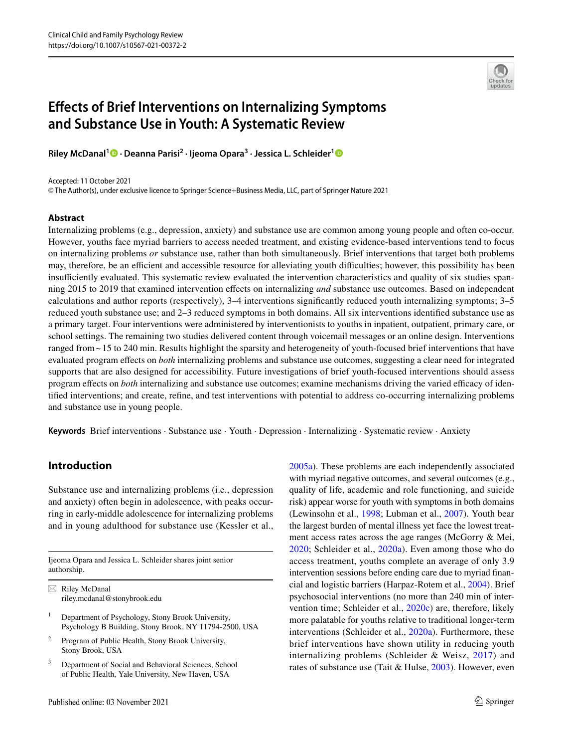# **Efects of Brief Interventions on Internalizing Symptoms and Substance Use in Youth: A Systematic Review**

**Riley McDanal1  [·](https://orcid.org/0000-0002-4607-4131) Deanna Parisi2 · Ijeoma Opara3 · Jessica L. Schleider[1](http://orcid.org/0000-0003-2426-1953)**

Accepted: 11 October 2021

© The Author(s), under exclusive licence to Springer Science+Business Media, LLC, part of Springer Nature 2021

#### **Abstract**

Internalizing problems (e.g., depression, anxiety) and substance use are common among young people and often co-occur. However, youths face myriad barriers to access needed treatment, and existing evidence-based interventions tend to focus on internalizing problems *or* substance use, rather than both simultaneously. Brief interventions that target both problems may, therefore, be an efficient and accessible resource for alleviating youth difficulties; however, this possibility has been insufficiently evaluated. This systematic review evaluated the intervention characteristics and quality of six studies spanning 2015 to 2019 that examined intervention efects on internalizing *and* substance use outcomes. Based on independent calculations and author reports (respectively), 3–4 interventions signifcantly reduced youth internalizing symptoms; 3–5 reduced youth substance use; and 2–3 reduced symptoms in both domains. All six interventions identifed substance use as a primary target. Four interventions were administered by interventionists to youths in inpatient, outpatient, primary care, or school settings. The remaining two studies delivered content through voicemail messages or an online design. Interventions ranged from ~ 15 to 240 min. Results highlight the sparsity and heterogeneity of youth-focused brief interventions that have evaluated program efects on *both* internalizing problems and substance use outcomes, suggesting a clear need for integrated supports that are also designed for accessibility. Future investigations of brief youth-focused interventions should assess program effects on *both* internalizing and substance use outcomes; examine mechanisms driving the varied efficacy of identifed interventions; and create, refne, and test interventions with potential to address co-occurring internalizing problems and substance use in young people.

**Keywords** Brief interventions · Substance use · Youth · Depression · Internalizing · Systematic review · Anxiety

# **Introduction**

Substance use and internalizing problems (i.e., depression and anxiety) often begin in adolescence, with peaks occurring in early-middle adolescence for internalizing problems and in young adulthood for substance use (Kessler et al.,

Ijeoma Opara and Jessica L. Schleider shares joint senior authorship.

 $\boxtimes$  Riley McDanal riley.mcdanal@stonybrook.edu

- <sup>1</sup> Department of Psychology, Stony Brook University, Psychology B Building, Stony Brook, NY 11794-2500, USA
- <sup>2</sup> Program of Public Health, Stony Brook University, Stony Brook, USA
- <sup>3</sup> Department of Social and Behavioral Sciences, School of Public Health, Yale University, New Haven, USA

[2005a\)](#page-15-0). These problems are each independently associated with myriad negative outcomes, and several outcomes (e.g., quality of life, academic and role functioning, and suicide risk) appear worse for youth with symptoms in both domains (Lewinsohn et al., [1998;](#page-15-1) Lubman et al., [2007\)](#page-15-2). Youth bear the largest burden of mental illness yet face the lowest treatment access rates across the age ranges (McGorry & Mei, [2020;](#page-15-3) Schleider et al., [2020a](#page-16-0)). Even among those who do access treatment, youths complete an average of only 3.9 intervention sessions before ending care due to myriad fnancial and logistic barriers (Harpaz-Rotem et al., [2004](#page-15-4)). Brief psychosocial interventions (no more than 240 min of intervention time; Schleider et al., [2020c\)](#page-16-1) are, therefore, likely more palatable for youths relative to traditional longer-term interventions (Schleider et al., [2020a\)](#page-16-0). Furthermore, these brief interventions have shown utility in reducing youth internalizing problems (Schleider & Weisz, [2017\)](#page-16-2) and rates of substance use (Tait & Hulse, [2003\)](#page-16-3). However, even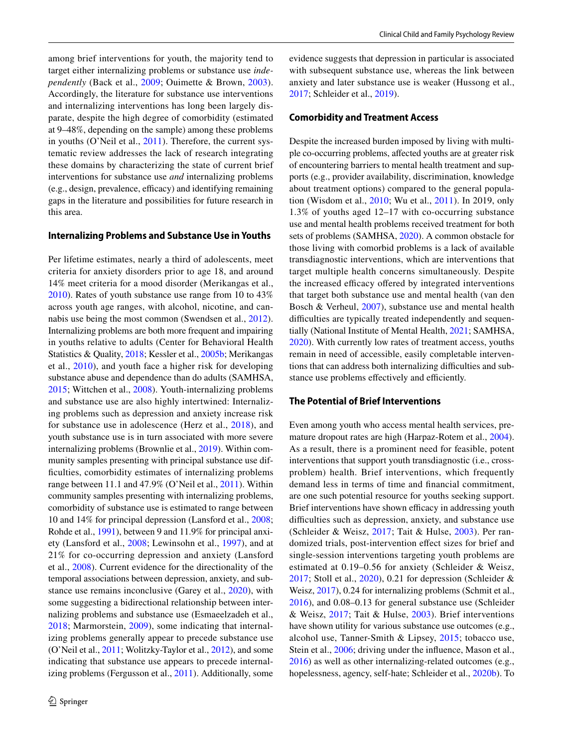among brief interventions for youth, the majority tend to target either internalizing problems or substance use *independently* (Back et al., [2009;](#page-14-0) Ouimette & Brown, [2003](#page-16-4)). Accordingly, the literature for substance use interventions and internalizing interventions has long been largely disparate, despite the high degree of comorbidity (estimated at 9–48%, depending on the sample) among these problems in youths (O'Neil et al., [2011\)](#page-16-5). Therefore, the current systematic review addresses the lack of research integrating these domains by characterizing the state of current brief interventions for substance use *and* internalizing problems  $(e.g., design, prevalence, efficacy)$  and identifying remaining gaps in the literature and possibilities for future research in this area.

#### **Internalizing Problems and Substance Use in Youths**

Per lifetime estimates, nearly a third of adolescents, meet criteria for anxiety disorders prior to age 18, and around 14% meet criteria for a mood disorder (Merikangas et al., [2010](#page-15-5)). Rates of youth substance use range from 10 to 43% across youth age ranges, with alcohol, nicotine, and cannabis use being the most common (Swendsen et al., [2012](#page-16-6)). Internalizing problems are both more frequent and impairing in youths relative to adults (Center for Behavioral Health Statistics & Quality, [2018](#page-15-6); Kessler et al., [2005b](#page-15-7); Merikangas et al., [2010](#page-15-5)), and youth face a higher risk for developing substance abuse and dependence than do adults (SAMHSA, [2015](#page-16-7); Wittchen et al., [2008](#page-16-8)). Youth-internalizing problems and substance use are also highly intertwined: Internalizing problems such as depression and anxiety increase risk for substance use in adolescence (Herz et al., [2018](#page-15-8)), and youth substance use is in turn associated with more severe internalizing problems (Brownlie et al., [2019](#page-15-9)). Within community samples presenting with principal substance use diffculties, comorbidity estimates of internalizing problems range between 11.1 and 47.9% (O'Neil et al., [2011](#page-16-5)). Within community samples presenting with internalizing problems, comorbidity of substance use is estimated to range between 10 and 14% for principal depression (Lansford et al., [2008](#page-15-10); Rohde et al., [1991\)](#page-16-9), between 9 and 11.9% for principal anxiety (Lansford et al., [2008](#page-15-10); Lewinsohn et al., [1997](#page-15-11)), and at 21% for co-occurring depression and anxiety (Lansford et al., [2008\)](#page-15-10). Current evidence for the directionality of the temporal associations between depression, anxiety, and substance use remains inconclusive (Garey et al., [2020](#page-15-12)), with some suggesting a bidirectional relationship between internalizing problems and substance use (Esmaeelzadeh et al., [2018;](#page-15-13) Marmorstein, [2009](#page-15-14)), some indicating that internalizing problems generally appear to precede substance use (O'Neil et al., [2011;](#page-16-5) Wolitzky-Taylor et al., [2012](#page-16-10)), and some indicating that substance use appears to precede internalizing problems (Fergusson et al., [2011\)](#page-15-15). Additionally, some evidence suggests that depression in particular is associated with subsequent substance use, whereas the link between anxiety and later substance use is weaker (Hussong et al., [2017](#page-15-16); Schleider et al., [2019\)](#page-16-11).

#### **Comorbidity and Treatment Access**

Despite the increased burden imposed by living with multiple co-occurring problems, afected youths are at greater risk of encountering barriers to mental health treatment and supports (e.g., provider availability, discrimination, knowledge about treatment options) compared to the general population (Wisdom et al., [2010](#page-16-12); Wu et al., [2011](#page-16-13)). In 2019, only 1.3% of youths aged 12–17 with co-occurring substance use and mental health problems received treatment for both sets of problems (SAMHSA, [2020\)](#page-16-14). A common obstacle for those living with comorbid problems is a lack of available transdiagnostic interventions, which are interventions that target multiple health concerns simultaneously. Despite the increased efficacy offered by integrated interventions that target both substance use and mental health (van den Bosch & Verheul, [2007](#page-16-15)), substance use and mental health difficulties are typically treated independently and sequentially (National Institute of Mental Health, [2021;](#page-15-17) SAMHSA, [2020](#page-16-14)). With currently low rates of treatment access, youths remain in need of accessible, easily completable interventions that can address both internalizing difficulties and substance use problems effectively and efficiently.

#### **The Potential of Brief Interventions**

Even among youth who access mental health services, premature dropout rates are high (Harpaz-Rotem et al., [2004](#page-15-4)). As a result, there is a prominent need for feasible, potent interventions that support youth transdiagnostic (i.e., crossproblem) health. Brief interventions, which frequently demand less in terms of time and fnancial commitment, are one such potential resource for youths seeking support. Brief interventions have shown efficacy in addressing youth difficulties such as depression, anxiety, and substance use (Schleider & Weisz, [2017](#page-16-2); Tait & Hulse, [2003\)](#page-16-3). Per randomized trials, post-intervention efect sizes for brief and single-session interventions targeting youth problems are estimated at 0.19–0.56 for anxiety (Schleider & Weisz, [2017;](#page-16-2) Stoll et al., [2020\)](#page-16-16), 0.21 for depression (Schleider & Weisz, [2017](#page-16-2)), 0.24 for internalizing problems (Schmit et al., [2016](#page-16-17)), and 0.08–0.13 for general substance use (Schleider & Weisz, [2017;](#page-16-2) Tait & Hulse, [2003](#page-16-3)). Brief interventions have shown utility for various substance use outcomes (e.g., alcohol use, Tanner-Smith & Lipsey, [2015](#page-16-18); tobacco use, Stein et al., [2006;](#page-16-19) driving under the influence, Mason et al., [2016](#page-15-18)) as well as other internalizing-related outcomes (e.g., hopelessness, agency, self-hate; Schleider et al., [2020b](#page-16-20)). To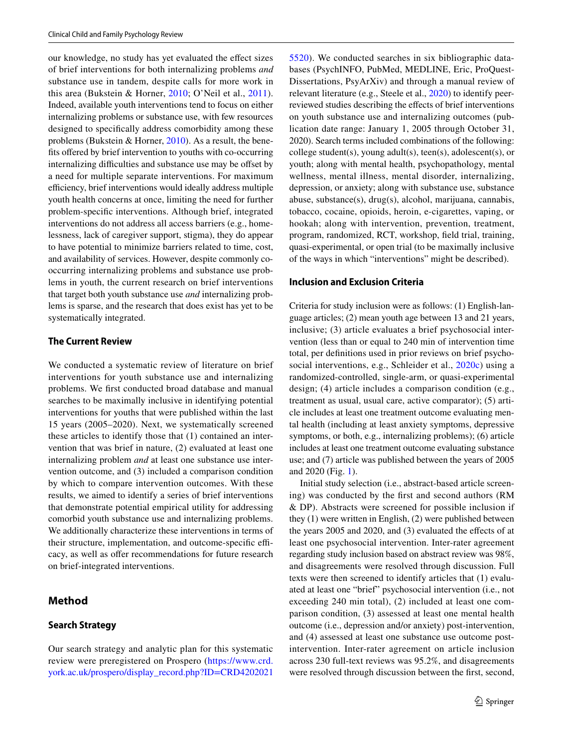our knowledge, no study has yet evaluated the efect sizes of brief interventions for both internalizing problems *and* substance use in tandem, despite calls for more work in this area (Bukstein & Horner, [2010;](#page-15-19) O'Neil et al., [2011](#page-16-5)). Indeed, available youth interventions tend to focus on either internalizing problems or substance use, with few resources designed to specifcally address comorbidity among these problems (Bukstein & Horner, [2010](#page-15-19)). As a result, the benefits offered by brief intervention to youths with co-occurring internalizing difficulties and substance use may be offset by a need for multiple separate interventions. For maximum efficiency, brief interventions would ideally address multiple youth health concerns at once, limiting the need for further problem-specifc interventions. Although brief, integrated interventions do not address all access barriers (e.g., homelessness, lack of caregiver support, stigma), they do appear to have potential to minimize barriers related to time, cost, and availability of services. However, despite commonly cooccurring internalizing problems and substance use problems in youth, the current research on brief interventions that target both youth substance use *and* internalizing problems is sparse, and the research that does exist has yet to be systematically integrated.

#### **The Current Review**

We conducted a systematic review of literature on brief interventions for youth substance use and internalizing problems. We frst conducted broad database and manual searches to be maximally inclusive in identifying potential interventions for youths that were published within the last 15 years (2005–2020). Next, we systematically screened these articles to identify those that (1) contained an intervention that was brief in nature, (2) evaluated at least one internalizing problem *and* at least one substance use intervention outcome, and (3) included a comparison condition by which to compare intervention outcomes. With these results, we aimed to identify a series of brief interventions that demonstrate potential empirical utility for addressing comorbid youth substance use and internalizing problems. We additionally characterize these interventions in terms of their structure, implementation, and outcome-specific efficacy, as well as offer recommendations for future research on brief-integrated interventions.

#### **Method**

#### **Search Strategy**

Our search strategy and analytic plan for this systematic review were preregistered on Prospero ([https://www.crd.](https://www.crd.york.ac.uk/prospero/display_record.php?ID=CRD42020215520) [york.ac.uk/prospero/display\\_record.php?ID=CRD4202021](https://www.crd.york.ac.uk/prospero/display_record.php?ID=CRD42020215520)

[5520\)](https://www.crd.york.ac.uk/prospero/display_record.php?ID=CRD42020215520). We conducted searches in six bibliographic databases (PsychINFO, PubMed, MEDLINE, Eric, ProQuest-Dissertations, PsyArXiv) and through a manual review of relevant literature (e.g., Steele et al., [2020](#page-16-21)) to identify peerreviewed studies describing the efects of brief interventions on youth substance use and internalizing outcomes (publication date range: January 1, 2005 through October 31, 2020). Search terms included combinations of the following: college student(s), young adult(s), teen(s), adolescent(s), or youth; along with mental health, psychopathology, mental wellness, mental illness, mental disorder, internalizing, depression, or anxiety; along with substance use, substance abuse, substance(s), drug(s), alcohol, marijuana, cannabis, tobacco, cocaine, opioids, heroin, e-cigarettes, vaping, or hookah; along with intervention, prevention, treatment, program, randomized, RCT, workshop, feld trial, training, quasi-experimental, or open trial (to be maximally inclusive of the ways in which "interventions" might be described).

#### **Inclusion and Exclusion Criteria**

Criteria for study inclusion were as follows: (1) English-language articles; (2) mean youth age between 13 and 21 years, inclusive; (3) article evaluates a brief psychosocial intervention (less than or equal to 240 min of intervention time total, per defnitions used in prior reviews on brief psychosocial interventions, e.g., Schleider et al., [2020c\)](#page-16-1) using a randomized-controlled, single-arm, or quasi-experimental design; (4) article includes a comparison condition (e.g., treatment as usual, usual care, active comparator); (5) article includes at least one treatment outcome evaluating mental health (including at least anxiety symptoms, depressive symptoms, or both, e.g., internalizing problems); (6) article includes at least one treatment outcome evaluating substance use; and (7) article was published between the years of 2005 and 2020 (Fig. [1\)](#page-3-0).

Initial study selection (i.e., abstract-based article screening) was conducted by the frst and second authors (RM & DP). Abstracts were screened for possible inclusion if they (1) were written in English, (2) were published between the years 2005 and 2020, and (3) evaluated the efects of at least one psychosocial intervention. Inter-rater agreement regarding study inclusion based on abstract review was 98%, and disagreements were resolved through discussion. Full texts were then screened to identify articles that (1) evaluated at least one "brief" psychosocial intervention (i.e., not exceeding 240 min total), (2) included at least one comparison condition, (3) assessed at least one mental health outcome (i.e., depression and/or anxiety) post-intervention, and (4) assessed at least one substance use outcome postintervention. Inter-rater agreement on article inclusion across 230 full-text reviews was 95.2%, and disagreements were resolved through discussion between the frst, second,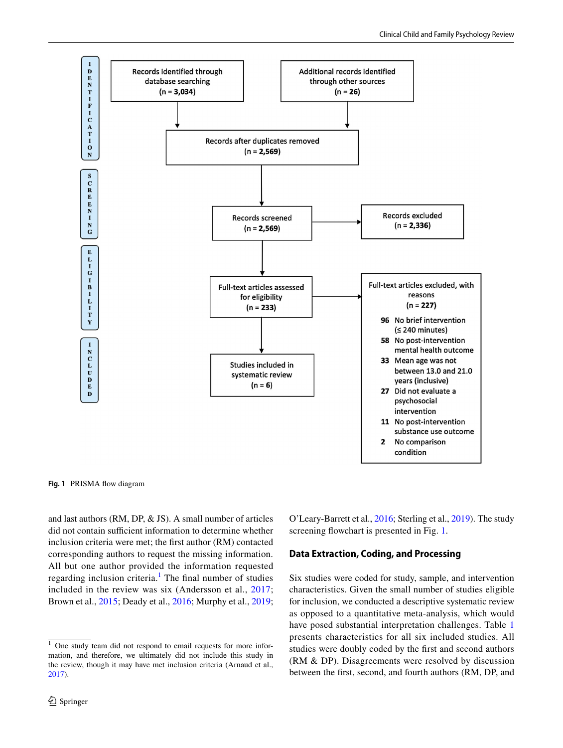

<span id="page-3-0"></span>**Fig. 1** PRISMA fow diagram

and last authors (RM, DP, & JS). A small number of articles did not contain sufficient information to determine whether inclusion criteria were met; the frst author (RM) contacted corresponding authors to request the missing information. All but one author provided the information requested regarding inclusion criteria.<sup>[1](#page-3-1)</sup> The final number of studies included in the review was six (Andersson et al., [2017](#page-14-1); Brown et al., [2015;](#page-15-20) Deady et al., [2016](#page-15-21); Murphy et al., [2019](#page-15-22);

O'Leary-Barrett et al., [2016;](#page-15-23) Sterling et al., [2019](#page-16-22)). The study screening flowchart is presented in Fig. [1.](#page-3-0)

#### **Data Extraction, Coding, and Processing**

Six studies were coded for study, sample, and intervention characteristics. Given the small number of studies eligible for inclusion, we conducted a descriptive systematic review as opposed to a quantitative meta-analysis, which would have posed substantial interpretation challenges. Table [1](#page-4-0) presents characteristics for all six included studies. All studies were doubly coded by the frst and second authors (RM & DP). Disagreements were resolved by discussion between the frst, second, and fourth authors (RM, DP, and

<span id="page-3-1"></span> $\frac{1}{1}$  One study team did not respond to email requests for more information, and therefore, we ultimately did not include this study in the review, though it may have met inclusion criteria (Arnaud et al., [2017](#page-14-2)).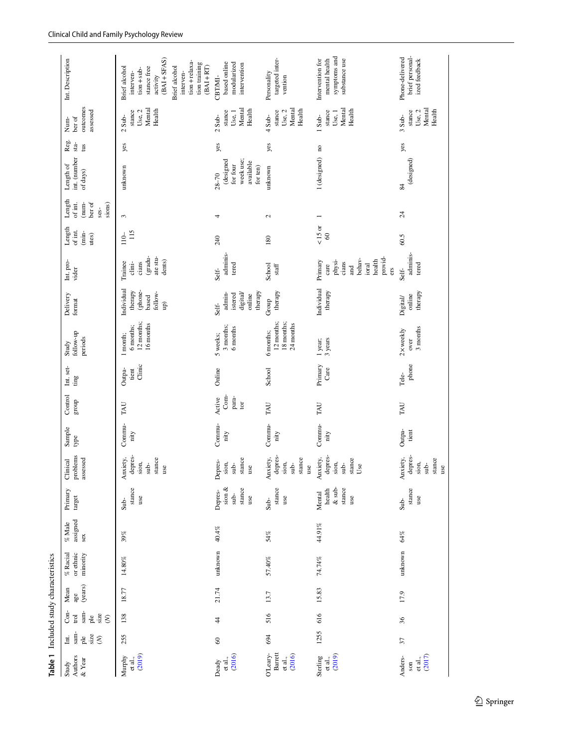<span id="page-4-0"></span>

| Table 1 Included study characteristics   |                                                                                              |                                                                            |                        |                                     |                              |                                                       |                                                          |                 |                                |                           |                                                    |                                                                                |                                                                                                        |                                     |                                                        |                                                                                      |                       |                                                    |                                                                                                                                                                             |
|------------------------------------------|----------------------------------------------------------------------------------------------|----------------------------------------------------------------------------|------------------------|-------------------------------------|------------------------------|-------------------------------------------------------|----------------------------------------------------------|-----------------|--------------------------------|---------------------------|----------------------------------------------------|--------------------------------------------------------------------------------|--------------------------------------------------------------------------------------------------------|-------------------------------------|--------------------------------------------------------|--------------------------------------------------------------------------------------|-----------------------|----------------------------------------------------|-----------------------------------------------------------------------------------------------------------------------------------------------------------------------------|
| Authors<br>& Year<br>Study               | $\begin{array}{ll} \text{Int.} \\ \text{sum} \end{array}$<br>size<br>ple<br>$\hat{\epsilon}$ | sam-<br>$Con-$<br>size<br>$\operatorname{trol}$<br>ple<br>$\hat{\epsilon}$ | (years)<br>Mean<br>age | or ethnic<br>$%$ Racial<br>minority | assigned<br>$\%$ Male<br>sex | Primary<br>target                                     | problems<br>assessed<br>Clinical                         | Sample<br>type  | Control<br>group               | Int. set-<br>ting         | follow-up<br>periods<br>Study                      | Delivery<br>format                                                             | Int. pro-<br>vider                                                                                     | Length<br>of int.<br>(min-<br>utes) | Length<br>(num-<br>ber of<br>sions)<br>of int.<br>ses- | int. (number<br>Length of<br>of days)                                                | Reg.<br>$sta-$<br>tus | outcomes<br>assessed<br>ber of<br>Num-             | Int. Description                                                                                                                                                            |
| (2019)<br>Murphy<br>et al.,              | 255                                                                                          | 138                                                                        | 18.77                  | 14.80%                              | 39%                          | stance<br>use<br>Sub-                                 | depres-<br>Anxiety,<br>stance<br>sion,<br>$sub-$<br>use  | Commu-<br>nity  | TAU                            | Clinic<br>Outpa-<br>tient | 12 months;<br>16 months<br>6 months;<br>1 month;   | Individual<br>(phone-<br>based<br>therapy<br>follow-<br>$\widehat{\mathbf{q}}$ | (gradu-<br>ate stu-<br>dents)<br>cians<br>Trainee<br>clini-                                            | 115<br>$110-$                       | 3                                                      | unknown                                                                              | yes                   | Mental<br>Health<br>Use, 2<br>stance<br>$2$ Sub-   | $(BAI + SFAS)$<br>$tion + relaxa-$<br>tion training<br>$(BAI + RT)$<br>Brief alcohol<br>Brief alcohol<br>stance free<br>$tion + sub-$<br>interven-<br>interven-<br>activity |
| et al.,<br>(2016)<br>Deady               | $\otimes$                                                                                    | 44                                                                         | 21.74                  | unknown                             | 40.4%                        | sion $\&$<br>stance<br>Depres-<br>$sub-$<br>use       | stance<br>Depres-<br>sion,<br>$sub-$<br>$_{\text{use}}$  | Commu-<br>nity  | Com-<br>para-<br>Active<br>tor | Online                    | 3 months;<br>6 months<br>5 weeks;                  | therapy<br>admin-<br>digital/<br>istered<br>online<br>Self-                    | adminis-<br>tered<br>Self-                                                                             | 240                                 | 4                                                      | week use;<br>(designed<br>available<br>for four<br>for <sub>ten</sub> )<br>$28 - 70$ | yes                   | Mental<br>Health<br>stance<br>Use, 1<br>$2$ Sub-   | based online<br>modularized<br>intervention<br>CBT/MI-                                                                                                                      |
| Barrett<br>O'Leary-<br>(2016)<br>et al., | 694                                                                                          | 516                                                                        | 13.7                   | $57.40\%$                           | 54%                          | stance<br>use<br>$Sub-$                               | depres-<br>stance<br>Anxiety,<br>sion,<br>$sub-$<br>use  | Commu-<br>nity  | TAU                            | School                    | 12 months;<br>18 months;<br>24 months<br>6 months; | therapy<br>Group                                                               | School<br>staff                                                                                        | 180                                 | 2                                                      | unknown                                                                              | yes                   | Mental<br>Health<br>stance<br>Use, 2<br>$4 Sub-$   | targeted inter-<br>Personality<br>vention                                                                                                                                   |
| et al.,<br>(2019)<br>Sterling            | 1255                                                                                         | 616                                                                        | 15.83                  | 74.74%                              | 44.91%                       | $\&$ sub-<br>${\tt since}$<br>health<br>Mental<br>use | depres-<br>Anxiety,<br>stance<br>sion,<br>$\sinh$<br>Use | Commu-<br>nity  | TAU                            | Primary<br>Care           | 3 years<br>1 year;                                 | Individual<br>therapy                                                          | provid-<br>behav-<br>health<br>physi-<br>Primary<br>$c$ ians<br>ioral<br>care<br>$\overline{a}$<br>ers | $<15$ or<br>$\pmb{\mathcal{S}}$     |                                                        | 1 (designed) no                                                                      |                       | Mental<br>Health<br>stance<br>Use, $1$<br>1 Sub-   | symptoms and<br>substance use<br>Intervention for<br>mental health                                                                                                          |
| (2017)<br>Anders-<br>et al.,<br>son      | 57                                                                                           | 36                                                                         | 17.9                   | unknown                             | $64\%$                       | stance<br>use<br>$Sub-$                               | depres-<br>stance<br>Anxiety,<br>sion,<br>$sub-$<br>use  | Outpa-<br>tient | TAU                            | phone<br>Tele-            | $3$ months<br>2 x weekly<br>over                   | therapy<br>online<br>Digital/                                                  | adminis-<br>tered<br>Self-                                                                             | $60.5$                              | $\overline{24}$                                        | (designed)<br>84                                                                     | yes                   | Mental<br>Health<br>stance<br>Use, $2$<br>$3 Sub-$ | brief personal-<br>Phone-delivered<br>ized feedback                                                                                                                         |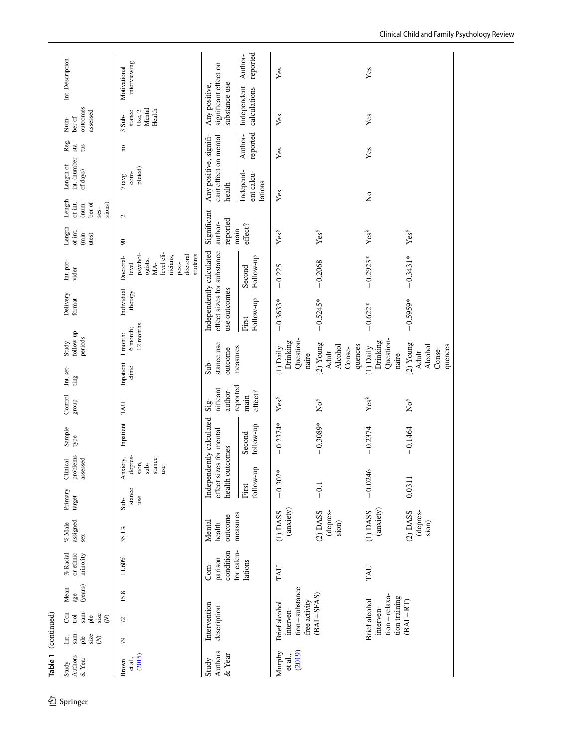| Control<br>group<br>Sample<br>type<br>Clinical<br>Primary<br>target<br>assigned<br>$\%$ Male<br>$\%$ Racial<br>or ethnic<br>Mean<br>age<br>Con-<br>Table 1 (continued)<br>trol |                                                      | follow-up<br>Study<br>Int. set-<br>ting                  | Delivery<br>format                                                     | $\rm Int.\,pro$ -<br>vider                                                                                  | Length<br>of int.<br>Length<br>of int.              | int. (number<br>Length of                                 | Reg.<br>$sta-$      | ber of<br>Num-                                          | Int. Description             |
|--------------------------------------------------------------------------------------------------------------------------------------------------------------------------------|------------------------------------------------------|----------------------------------------------------------|------------------------------------------------------------------------|-------------------------------------------------------------------------------------------------------------|-----------------------------------------------------|-----------------------------------------------------------|---------------------|---------------------------------------------------------|------------------------------|
| problems<br>assessed<br>sex<br>minority<br>(years)<br>$\operatorname{sam}$<br>size<br>ple<br>$\hat{\mathcal{E}}$                                                               |                                                      | periods                                                  |                                                                        |                                                                                                             | (nun-<br>ber of<br>sions)<br>ses-<br>(min-<br>utes) | of days)                                                  | tus                 | outcomes<br>assessed                                    |                              |
| Inpatient<br>depres-<br>Anxiety,<br>stance<br>sion,<br>$sub-$<br>use<br>stance<br>use<br>Sub-<br>35.1%<br>11.60%<br>15.8<br>72                                                 | TAU                                                  | 12 months<br>6 month;<br>1 month;<br>Inpatient<br>clinic | Individual<br>therapy                                                  | level cli-<br>psychol-<br>students<br>doctoral<br>nicians,<br>Doctoral-<br>ogists,<br>MA-<br>post-<br>level | $\mathcal{L}$<br>$\overline{6}$                     | $p$ leted $)$<br>com-<br>$7$ (avg.                        | $\mathbf{p}$        | Mental<br>Health<br>Use, $2$<br>stance<br>3 Sub-        | interviewing<br>Motivational |
| Independently calculated<br>effect sizes for mental<br>health outcomes<br>outcome<br>Mental<br>health<br>condition<br>parison<br>Com-<br>Intervention<br>description           | nificant<br>author-<br>$\mathrm{Sig}$ -              | stance use<br>outcome<br>$Sub-$                          | Independently calculated<br>effect sizes for substance<br>use outcomes |                                                                                                             | Significant<br>reported<br>author-                  | Any positive, signifi-<br>cant effect on mental<br>health |                     | significant effect on<br>substance use<br>Any positive, |                              |
| follow-up<br>Second<br>follow-up<br>First<br>measures<br>for calcu-<br>lations                                                                                                 | reported<br>effect?<br>main                          | measures                                                 | Follow-up<br>First                                                     | Follow-up<br>Second                                                                                         | effect?<br>main                                     | Independ-<br>ent calcu-<br>lations                        | reported<br>Author- | Independent<br>calculations                             | reported<br>Author-          |
| $-0.2374*$<br>$-0.302*$<br>$($ anxiety $)$<br>$(1)$ DASS<br>TAU<br>tion+substance<br>free activity<br><b>Brief</b> alcohol<br>interven-                                        | Yes                                                  | Question-<br>Drinking<br>$(1)$ Daily<br>naire            | $-0.3633*$                                                             | $-0.225$                                                                                                    | Yes <sup>8</sup>                                    | Yes                                                       | Yes                 | Yes                                                     | Yes                          |
| $-0.3089*$<br>$-0.1$<br>$(2)$ DASS<br>(depres-<br>sion)<br>$(BAI + SFAS)$                                                                                                      | $\mathop{\rm No}\nolimits^{\mathop{\rm s}\nolimits}$ | $(2)$ Young<br>Alcohol<br>quences<br>Conse-<br>Adult     | $-0.5245*$                                                             | $-0.2068$                                                                                                   | Yes <sup>8</sup>                                    |                                                           |                     |                                                         |                              |
| $-0.2374$<br>$-0.0246$<br>(anxiety)<br>$(1)$ DASS<br>TAU<br>tion+relaxa-<br>tion training<br>Brief alcohol<br>interven-                                                        | Yes                                                  | Question-<br>Drinking<br>$(1)$ Daily<br>naire            | $-0.622*$                                                              | $-0.2923*$                                                                                                  | Yes <sup>8</sup>                                    | $\tilde{z}$                                               | Yes                 | Yes                                                     | Yes                          |
| $-0.1464$<br>0.0311<br>$(2)$ DASS<br>(depres-<br>sion)<br>$(BAI + RT)$                                                                                                         | Ňo <sup>8</sup>                                      | $(2)$ Young<br>Alcohol<br>quences<br>Conse-<br>Adult     | $-0.5959*$                                                             | $-0.3431*$                                                                                                  | Yes <sup>8</sup>                                    |                                                           |                     |                                                         |                              |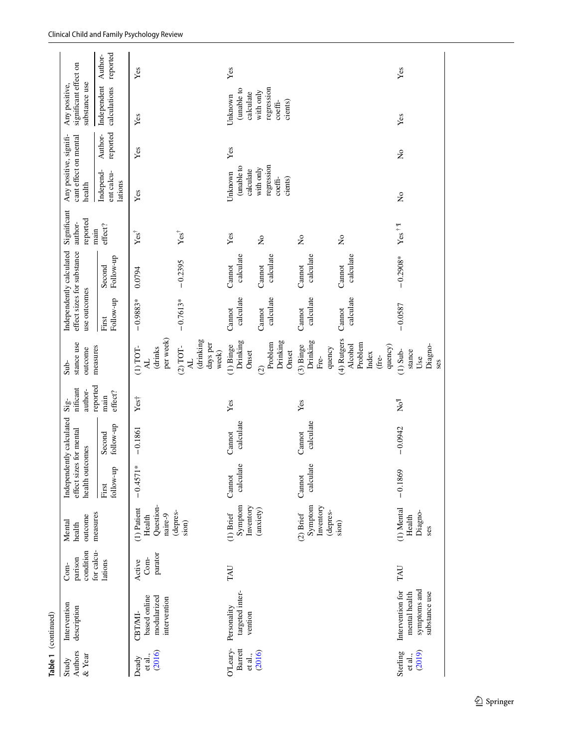|                                       | Table 1 (continued)                                                |                              |                                                 |                                                                        |                     |                                                    |                                                                |                                                                        |                     |                                    |                                                           |                     |                                                                |          |
|---------------------------------------|--------------------------------------------------------------------|------------------------------|-------------------------------------------------|------------------------------------------------------------------------|---------------------|----------------------------------------------------|----------------------------------------------------------------|------------------------------------------------------------------------|---------------------|------------------------------------|-----------------------------------------------------------|---------------------|----------------------------------------------------------------|----------|
| Authors<br>$\&$ Year<br>Study         | Intervention<br>description                                        | condition<br>parison<br>Com- | outcome<br>Mental<br>health                     | Independently calculated<br>effect sizes for mental<br>health outcomes |                     | nificant<br>author-<br>$\mathrm{Si}\,\mathrm{g}$ - | stance use<br>outcome<br>Sub-                                  | Independently calculated<br>effect sizes for substance<br>use outcomes |                     | Significant<br>reported<br>author- | Any positive, signifi-<br>cant effect on mental<br>health |                     | significant effect on<br>substance use<br>Any positive,        |          |
|                                       |                                                                    | for calcu-<br>lations        | measures                                        | follow-up<br>First                                                     | follow-up<br>Second | reported<br>effect?<br>main                        | measures                                                       | Follow-up<br>First                                                     | Follow-up<br>Second | effect?<br>main                    | Independ-<br>ent calcu-<br>lations                        | reported<br>Author- | Independent Author-<br>calculations                            | reported |
| (2016)<br>et al.,<br>Deady            | based online<br>modularized<br>intervention<br>CBT/MI-             | parator<br>$Com-$<br>Active  | Question-<br>(1) Patient<br>naire-9<br>Health   | $\overline{1}$<br>$-0.457$                                             | $-0.1861$           | Yes <sup>+</sup>                                   | per week)<br>$(1)$ TOT-<br>(drinks                             | $-0.9883*$                                                             | 0.0794              | $Yes^{\dagger}$                    | Yes                                                       | Yes                 | Yes                                                            | Yes      |
|                                       |                                                                    |                              | (depres-<br>sion)                               |                                                                        |                     |                                                    | drinking<br>days per<br>$(2)$ TOT-<br>week)<br>4L              | $-0.7613*$                                                             | $-0.2395$           | $Yes^{\dagger}$                    |                                                           |                     |                                                                |          |
| O'Leary-<br><b>Barrett</b><br>et al., | targeted inter-<br>Personality<br>vention                          | TAU                          | Symptom<br>Inventory<br>$(1)$ Brief             | calculate<br>Cannot                                                    | calculate<br>Cannot | Yes                                                | Drinking<br>(1) Binge<br>Onset                                 | calculate<br>Cannot                                                    | calculate<br>Cannot | Yes                                | (unable to<br>calculate<br>Unknown                        | Yes                 | (unable to<br>calculate<br>Unknown                             | Yes      |
| (2016)                                |                                                                    |                              | (anxiety)                                       |                                                                        |                     |                                                    | Drinking<br>Problem<br>Onset<br>$\widehat{c}$                  | calculate<br>Cannot                                                    | calculate<br>Cannot | $\tilde{z}$                        | regression<br>with only<br>$\mbox{coeff}$ -<br>cients)    |                     | regression<br>with only<br>cients)<br>$\mathrm{coeff}\text{-}$ |          |
|                                       |                                                                    |                              | Symptom<br>Inventory<br>(depres-<br>$(2)$ Brief | calculate<br>Cannot                                                    | calculate<br>Cannot | Yes                                                | Drinking<br>$(3)$ Binge<br>quency<br>Fre-                      | calculate<br>Cannot                                                    | calculate<br>Cannot | $\tilde{z}$                        |                                                           |                     |                                                                |          |
|                                       |                                                                    |                              | sion)                                           |                                                                        |                     |                                                    | (4) Rutgers<br>Problem<br>Alcohol<br>quency)<br>Index<br>(fre- | calculate<br>Cannot                                                    | calculate<br>Cannot | $\tilde{z}$                        |                                                           |                     |                                                                |          |
| (2019)<br>Sterling<br>et al.,         | Intervention for<br>symptoms and<br>substance use<br>mental health | TAU                          | (1) Mental<br>Diagno-<br>Health<br>ses          | $-0.1869$                                                              | $-0.0942$           | Joh                                                | Diagno-<br>$(1)$ Sub-<br>stance<br>Use<br><b>Ses</b>           | $-0.0587$                                                              | $-0.2908*$          | Yes $^\dagger$ !                   | $\tilde{z}$                                               | $\tilde{z}$         | Yes                                                            | Yes      |
|                                       |                                                                    |                              |                                                 |                                                                        |                     |                                                    |                                                                |                                                                        |                     |                                    |                                                           |                     |                                                                |          |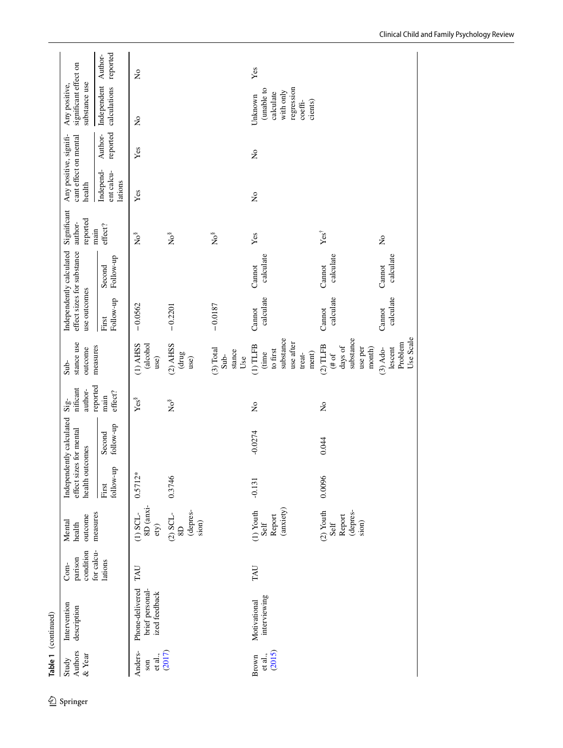| significant effect on<br>substance use<br>Any positive,   | Independent Author-<br>calculations | $\tilde{z}$                                         |                                                                                  |                                      | (unable to<br>regression<br>with only<br>calculate<br>Unknown<br>cients)<br>$\mbox{coeffi-}$ |                                                                     |                                               |
|-----------------------------------------------------------|-------------------------------------|-----------------------------------------------------|----------------------------------------------------------------------------------|--------------------------------------|----------------------------------------------------------------------------------------------|---------------------------------------------------------------------|-----------------------------------------------|
|                                                           | reported<br>Author-                 | Yes                                                 |                                                                                  |                                      | $\mathsf{\hat{z}}$                                                                           |                                                                     |                                               |
| Any positive, signifi-<br>cant effect on mental<br>health | Independ-<br>ent calcu-<br>lations  | Yes                                                 |                                                                                  |                                      | $\tilde{z}$                                                                                  |                                                                     |                                               |
| Significant<br>reported<br>author-<br>main                | effect?                             | Ňo <sup>8</sup>                                     | Ňo                                                                               | Ňos                                  | Yes                                                                                          | $Yes^{\dagger}$                                                     | $\tilde{z}$                                   |
| Independently calculated<br>effect sizes for substance    | Follow-up<br>Second                 |                                                     |                                                                                  |                                      | calculate<br>Cannot                                                                          | calculate<br>Cannot                                                 | calculate<br>Cannot                           |
| use outcomes                                              | Follow-up<br>First                  | $-0.0562$                                           | $-0.2201$                                                                        | $-0.0187$                            | calculate<br>Cannot                                                                          | calculate<br>Cannot                                                 | calculate<br>Cannot                           |
| stance use<br>measures<br>outcome<br>Sub-                 |                                     | $(1)$ AHSS<br>(alcohol<br>use)                      | $(2)$ AHSS<br>(drug<br>use)                                                      | (3) Total<br>stance<br>$Sub-$<br>Use | substance<br>use after<br>$(1)$ TLFB<br>to first<br>ment)<br>(time<br>treat-                 | substance<br>$(2)$ TLFB<br>days of<br>use per<br>month)<br>$($ # of | Use Scale<br>Problem<br>lescent<br>$(3)$ Ado- |
| nificant<br>author-<br>$\mathrm{Sig}$                     | reported<br>effect?<br>main         | Yes <sup>§</sup>                                    | Ňo                                                                               |                                      | $\tilde{z}$                                                                                  | $\tilde{z}$                                                         |                                               |
| Independently calculated<br>outcomes                      | follow-up<br>Second                 |                                                     |                                                                                  |                                      | $-0.0274$                                                                                    | 0.044                                                               |                                               |
| effect sizes for mental<br>health                         | follow-up<br>First                  | $0.5712*$                                           | 0.3746                                                                           |                                      | $-0.131$                                                                                     | 0.0096                                                              |                                               |
| measures<br>outcome<br>Mental<br>health                   |                                     | 8D (anxi-<br>$(1)$ SCL-<br>ety)                     | (depres-<br>$\overset{(2)}{\mathbb{S}}\overset{\text{GL-}}{\mathbb{S}}$<br>sion) |                                      | (anxiety)<br>$(1)$ Youth<br>Report<br>Self                                                   | $(2)$ Youth<br>(depres-<br>Report<br>Self<br>sion)                  |                                               |
| condition<br>for calcu-<br>parison<br>$Com-$              | lations                             | TAU                                                 |                                                                                  |                                      | TAU                                                                                          |                                                                     |                                               |
| Intervention<br>description                               |                                     | Phone-delivered<br>brief personal-<br>ized feedback |                                                                                  |                                      | interviewing<br>Motivational                                                                 |                                                                     |                                               |
| Authors<br>& Year<br>Study                                |                                     | Anders-<br>et al.,<br>son                           | (2017)                                                                           |                                      | (2015)<br>et al.,<br>Brown                                                                   |                                                                     |                                               |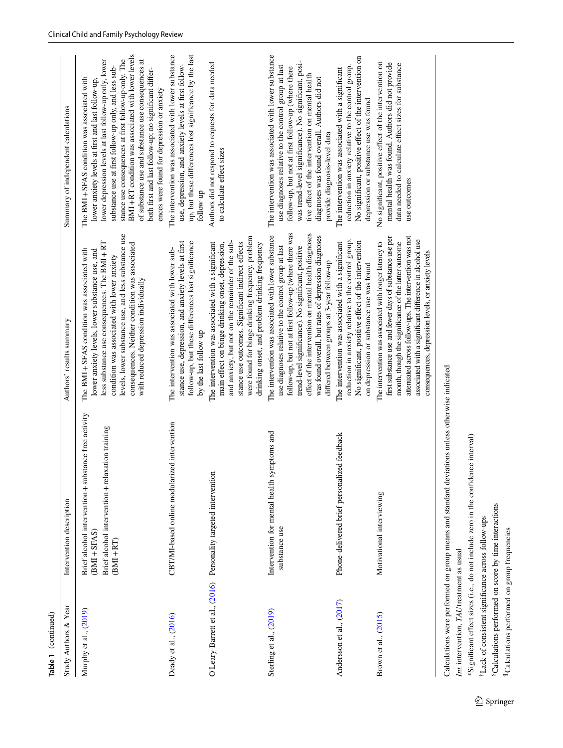| Study Authors & Year     | Intervention description                                                                                                                   | Authors' results summary                                                                                                                                                                                                                                                                                                                                                                     | Summary of independent calculations                                                                                                                                                                                                                                                                                                                                                                                                                                                        |
|--------------------------|--------------------------------------------------------------------------------------------------------------------------------------------|----------------------------------------------------------------------------------------------------------------------------------------------------------------------------------------------------------------------------------------------------------------------------------------------------------------------------------------------------------------------------------------------|--------------------------------------------------------------------------------------------------------------------------------------------------------------------------------------------------------------------------------------------------------------------------------------------------------------------------------------------------------------------------------------------------------------------------------------------------------------------------------------------|
| Murphy et al., (2019)    | Brief alcohol intervention + substance free activity<br>Brief alcohol intervention + relaxation training<br>$(BMI + SFAS)$<br>$(BMI + RT)$ | levels, lower substance use, and less substance use<br>less substance use consequences. The BMI+RT<br>consequences. Neither condition was associated<br>The BMI + SFAS condition was associated with<br>lower anxiety levels, lower substance use, and<br>condition was associated with lower anxiety<br>with reduced depression individually                                                | BMI+RT condition was associated with lower levels<br>stance use consequences at first follow-up only. The<br>lower depression levels at last follow-up only, lower<br>of substance use and substance use consequences at<br>substance use at first follow-up only, and less sub-<br>both first and last follow-up; no significant differ-<br>The BMI+SFAS condition was associated with<br>lower anxiety levels at first and last follow-up.<br>ences were found for depression or anxiety |
| Deady et al., (2016)     | CBT/MI-based online modularized intervention                                                                                               | stance use, depression, and anxiety levels at first<br>follow-up, but these differences lost significance<br>The intervention was associated with lower sub-<br>by the last follow-up                                                                                                                                                                                                        | up, but these differences lost significance by the last<br>The intervention was associated with lower substance<br>use, depression, and anxiety levels at first follow-<br>follow-up                                                                                                                                                                                                                                                                                                       |
|                          | O'Leary-Barrett et al., (2016) Personality targeted intervention                                                                           | were found for binge drinking frequency, problem<br>and anxiety, but not on the remainder of the sub-<br>The intervention was associated with a significant<br>main effect on binge drinking onset, depression,<br>stance use outcomes. Significant indirect effects<br>drinking onset, and problem drinking frequency                                                                       | Authors did not respond to requests for data needed<br>to calculate effect sizes                                                                                                                                                                                                                                                                                                                                                                                                           |
| Sterling et al., (2019)  | Intervention for mental health symptoms and<br>substance use                                                                               | follow-up, but not at first follow-up (where there was<br>effect of the intervention on mental health diagnoses<br>was found overall, but rates of depression diagnoses<br>The intervention was associated with lower substance<br>trend-level significance). No significant, positive<br>use diagnoses relative to the control group at last<br>differed between groups at 3-year follow-up | The intervention was associated with lower substance<br>was trend-level significance). No significant, posi-<br>use diagnoses relative to the control group at last<br>follow-up, but not at first follow-up (where there<br>tive effect of the intervention on mental health<br>diagnoses was found overall. Authors did not<br>provide diagnosis-level data                                                                                                                              |
| Andersson et al., (2017) | Phone-delivered brief personalized feedback                                                                                                | reduction in anxiety relative to the control group.<br>No significant, positive effect of the intervention<br>The intervention was associated with a significant<br>on depression or substance use was found                                                                                                                                                                                 | No significant, positive effect of the intervention on<br>reduction in anxiety relative to the control group.<br>The intervention was associated with a significant<br>depression or substance use was found                                                                                                                                                                                                                                                                               |
| Brown et al., (2015)     | Motivational interviewing                                                                                                                  | attenuated across follow-ups. The intervention was not<br>first substance use and fewer days of substance use per<br>associated with a significant difference in alcohol use<br>The intervention was associated with longer latency to<br>month, though the significance of the latter outcome<br>consequences, depression levels, or anxiety levels                                         | No significant, positive effect of the intervention on<br>mental health was found. Authors did not provide<br>data needed to calculate effect sizes for substance<br>use outcomes                                                                                                                                                                                                                                                                                                          |
| $In+intorsation T4H$     | Calculations were performed on group means and standard deviations unless otherwise indicated                                              |                                                                                                                                                                                                                                                                                                                                                                                              |                                                                                                                                                                                                                                                                                                                                                                                                                                                                                            |

*Int.*intervention, *TAU*treatment as usual Int. intervention, TAU treatment as usual

\*Significant effect sizes (i.e., do not include zero in the confidence interval) \*Signifcant efect sizes (i.e., do not include zero in the confdence interval)

<sup>+</sup>Lack of consistent significance across follow-ups †Lack of consistent signifcance across follow-ups

<sup>8</sup>Calculations performed on score by time interactions §Calculations performed on score by time interactions

<sup>¶</sup>Calculations performed on group frequencies ¶Calculations performed on group frequencies

**Table 1** (continued)

Table 1 (continued)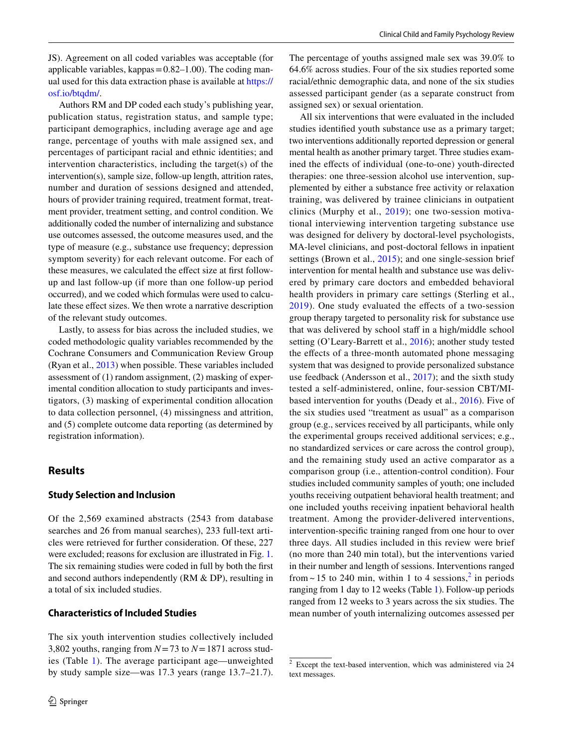JS). Agreement on all coded variables was acceptable (for applicable variables, kappas $=0.82-1.00$ ). The coding manual used for this data extraction phase is available at [https://](https://osf.io/btqdm/) [osf.io/btqdm/](https://osf.io/btqdm/).

Authors RM and DP coded each study's publishing year, publication status, registration status, and sample type; participant demographics, including average age and age range, percentage of youths with male assigned sex, and percentages of participant racial and ethnic identities; and intervention characteristics, including the target(s) of the intervention(s), sample size, follow-up length, attrition rates, number and duration of sessions designed and attended, hours of provider training required, treatment format, treatment provider, treatment setting, and control condition. We additionally coded the number of internalizing and substance use outcomes assessed, the outcome measures used, and the type of measure (e.g., substance use frequency; depression symptom severity) for each relevant outcome. For each of these measures, we calculated the effect size at first followup and last follow-up (if more than one follow-up period occurred), and we coded which formulas were used to calculate these effect sizes. We then wrote a narrative description of the relevant study outcomes.

Lastly, to assess for bias across the included studies, we coded methodologic quality variables recommended by the Cochrane Consumers and Communication Review Group (Ryan et al., [2013\)](#page-16-23) when possible. These variables included assessment of (1) random assignment, (2) masking of experimental condition allocation to study participants and investigators, (3) masking of experimental condition allocation to data collection personnel, (4) missingness and attrition, and (5) complete outcome data reporting (as determined by registration information).

#### **Results**

#### **Study Selection and Inclusion**

Of the 2,569 examined abstracts (2543 from database searches and 26 from manual searches), 233 full-text articles were retrieved for further consideration. Of these, 227 were excluded; reasons for exclusion are illustrated in Fig. [1.](#page-3-0) The six remaining studies were coded in full by both the frst and second authors independently (RM & DP), resulting in a total of six included studies.

#### **Characteristics of Included Studies**

The six youth intervention studies collectively included 3,802 youths, ranging from *N*=73 to *N*=1871 across studies (Table [1](#page-4-0)). The average participant age—unweighted by study sample size—was 17.3 years (range 13.7–21.7). The percentage of youths assigned male sex was 39.0% to 64.6% across studies. Four of the six studies reported some racial/ethnic demographic data, and none of the six studies assessed participant gender (as a separate construct from assigned sex) or sexual orientation.

All six interventions that were evaluated in the included studies identifed youth substance use as a primary target; two interventions additionally reported depression or general mental health as another primary target. Three studies examined the efects of individual (one-to-one) youth-directed therapies: one three-session alcohol use intervention, supplemented by either a substance free activity or relaxation training, was delivered by trainee clinicians in outpatient clinics (Murphy et al., [2019\)](#page-15-22); one two-session motivational interviewing intervention targeting substance use was designed for delivery by doctoral-level psychologists, MA-level clinicians, and post-doctoral fellows in inpatient settings (Brown et al., [2015](#page-15-20)); and one single-session brief intervention for mental health and substance use was delivered by primary care doctors and embedded behavioral health providers in primary care settings (Sterling et al., [2019](#page-16-22)). One study evaluated the efects of a two-session group therapy targeted to personality risk for substance use that was delivered by school staff in a high/middle school setting (O'Leary-Barrett et al., [2016\)](#page-15-23); another study tested the efects of a three-month automated phone messaging system that was designed to provide personalized substance use feedback (Andersson et al., [2017](#page-14-1)); and the sixth study tested a self-administered, online, four-session CBT/MIbased intervention for youths (Deady et al., [2016](#page-15-21)). Five of the six studies used "treatment as usual" as a comparison group (e.g., services received by all participants, while only the experimental groups received additional services; e.g., no standardized services or care across the control group), and the remaining study used an active comparator as a comparison group (i.e., attention-control condition). Four studies included community samples of youth; one included youths receiving outpatient behavioral health treatment; and one included youths receiving inpatient behavioral health treatment. Among the provider-delivered interventions, intervention-specifc training ranged from one hour to over three days. All studies included in this review were brief (no more than 240 min total), but the interventions varied in their number and length of sessions. Interventions ranged from  $\sim$  15 to [2](#page-9-0)40 min, within 1 to 4 sessions,<sup>2</sup> in periods ranging from 1 day to 12 weeks (Table [1](#page-4-0)). Follow-up periods ranged from 12 weeks to 3 years across the six studies. The mean number of youth internalizing outcomes assessed per

<span id="page-9-0"></span><sup>2</sup> Except the text-based intervention, which was administered via 24 text messages.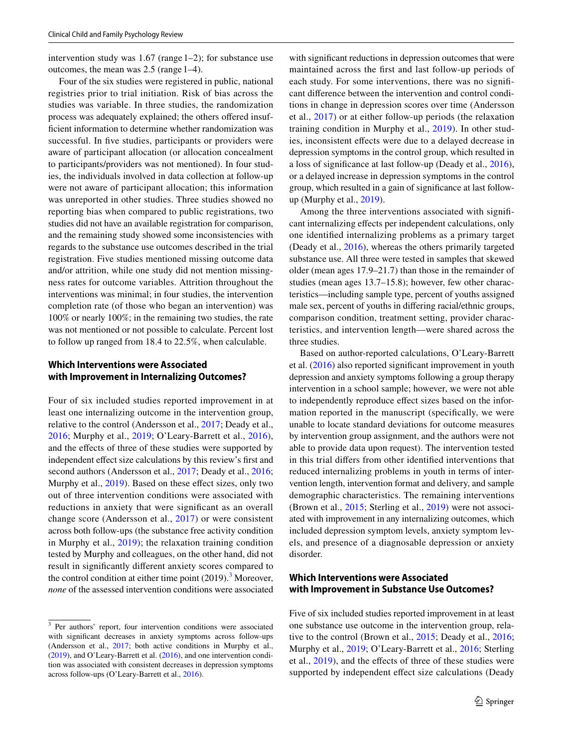intervention study was 1.67 (range 1–2); for substance use outcomes, the mean was 2.5 (range 1–4).

Four of the six studies were registered in public, national registries prior to trial initiation. Risk of bias across the studies was variable. In three studies, the randomization process was adequately explained; the others ofered insufficient information to determine whether randomization was successful. In five studies, participants or providers were aware of participant allocation (or allocation concealment to participants/providers was not mentioned). In four studies, the individuals involved in data collection at follow-up were not aware of participant allocation; this information was unreported in other studies. Three studies showed no reporting bias when compared to public registrations, two studies did not have an available registration for comparison, and the remaining study showed some inconsistencies with regards to the substance use outcomes described in the trial registration. Five studies mentioned missing outcome data and/or attrition, while one study did not mention missingness rates for outcome variables. Attrition throughout the interventions was minimal; in four studies, the intervention completion rate (of those who began an intervention) was 100% or nearly 100%; in the remaining two studies, the rate was not mentioned or not possible to calculate. Percent lost to follow up ranged from 18.4 to 22.5%, when calculable.

#### **Which Interventions were Associated with Improvement in Internalizing Outcomes?**

Four of six included studies reported improvement in at least one internalizing outcome in the intervention group, relative to the control (Andersson et al., [2017](#page-14-1); Deady et al., [2016;](#page-15-21) Murphy et al., [2019](#page-15-22); O'Leary-Barrett et al., [2016](#page-15-23)), and the efects of three of these studies were supported by independent effect size calculations by this review's first and second authors (Andersson et al., [2017;](#page-14-1) Deady et al., [2016](#page-15-21); Murphy et al., [2019](#page-15-22)). Based on these effect sizes, only two out of three intervention conditions were associated with reductions in anxiety that were signifcant as an overall change score (Andersson et al., [2017](#page-14-1)) or were consistent across both follow-ups (the substance free activity condition in Murphy et al., [2019](#page-15-22)); the relaxation training condition tested by Murphy and colleagues, on the other hand, did not result in signifcantly diferent anxiety scores compared to the control condition at either time point  $(2019)$ .<sup>[3](#page-10-0)</sup> Moreover, *none* of the assessed intervention conditions were associated

with signifcant reductions in depression outcomes that were maintained across the frst and last follow-up periods of each study. For some interventions, there was no signifcant diference between the intervention and control conditions in change in depression scores over time (Andersson et al., [2017\)](#page-14-1) or at either follow-up periods (the relaxation training condition in Murphy et al., [2019](#page-15-22)). In other studies, inconsistent efects were due to a delayed decrease in depression symptoms in the control group, which resulted in a loss of signifcance at last follow-up (Deady et al., [2016](#page-15-21)), or a delayed increase in depression symptoms in the control group, which resulted in a gain of signifcance at last followup (Murphy et al., [2019\)](#page-15-22).

Among the three interventions associated with signifcant internalizing efects per independent calculations, only one identifed internalizing problems as a primary target (Deady et al., [2016](#page-15-21)), whereas the others primarily targeted substance use. All three were tested in samples that skewed older (mean ages 17.9–21.7) than those in the remainder of studies (mean ages 13.7–15.8); however, few other characteristics—including sample type, percent of youths assigned male sex, percent of youths in difering racial/ethnic groups, comparison condition, treatment setting, provider characteristics, and intervention length—were shared across the three studies.

Based on author-reported calculations, O'Leary-Barrett et al. [\(2016](#page-15-23)) also reported signifcant improvement in youth depression and anxiety symptoms following a group therapy intervention in a school sample; however, we were not able to independently reproduce efect sizes based on the information reported in the manuscript (specifcally, we were unable to locate standard deviations for outcome measures by intervention group assignment, and the authors were not able to provide data upon request). The intervention tested in this trial difers from other identifed interventions that reduced internalizing problems in youth in terms of intervention length, intervention format and delivery, and sample demographic characteristics. The remaining interventions (Brown et al., [2015](#page-15-20); Sterling et al., [2019\)](#page-16-22) were not associated with improvement in any internalizing outcomes, which included depression symptom levels, anxiety symptom levels, and presence of a diagnosable depression or anxiety disorder.

#### **Which Interventions were Associated with Improvement in Substance Use Outcomes?**

Five of six included studies reported improvement in at least one substance use outcome in the intervention group, relative to the control (Brown et al., [2015;](#page-15-20) Deady et al., [2016](#page-15-21); Murphy et al., [2019;](#page-15-22) O'Leary-Barrett et al., [2016;](#page-15-23) Sterling et al., [2019](#page-16-22)), and the efects of three of these studies were supported by independent effect size calculations (Deady

<span id="page-10-0"></span><sup>3</sup> Per authors' report, four intervention conditions were associated with signifcant decreases in anxiety symptoms across follow-ups (Andersson et al., [2017](#page-14-1); both active conditions in Murphy et al., ([2019\)](#page-15-22), and O'Leary-Barrett et al. [\(2016](#page-15-23)), and one intervention condition was associated with consistent decreases in depression symptoms across follow-ups (O'Leary-Barrett et al., [2016\)](#page-15-23).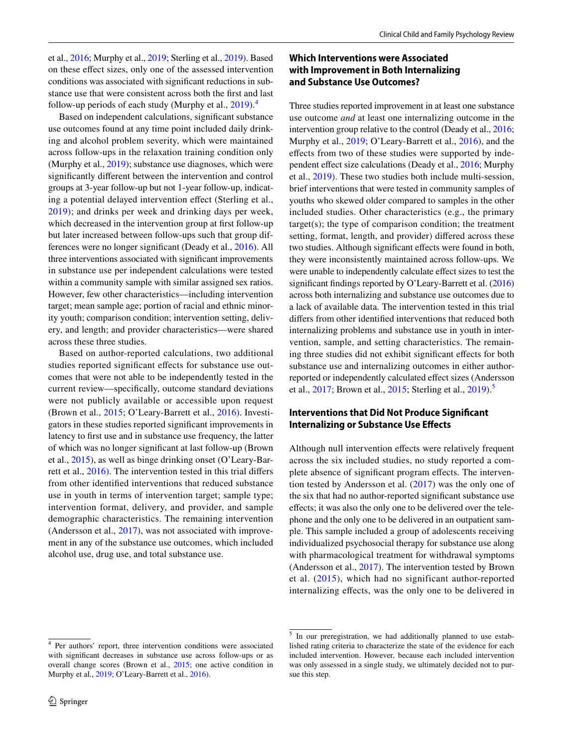et al., [2016](#page-15-21); Murphy et al., [2019;](#page-15-22) Sterling et al., [2019](#page-16-22)). Based on these efect sizes, only one of the assessed intervention conditions was associated with signifcant reductions in substance use that were consistent across both the frst and last follow-up periods of each study (Murphy et al.,  $2019$ ).<sup>[4](#page-11-0)</sup>

Based on independent calculations, signifcant substance use outcomes found at any time point included daily drinking and alcohol problem severity, which were maintained across follow-ups in the relaxation training condition only (Murphy et al., [2019](#page-15-22)); substance use diagnoses, which were signifcantly diferent between the intervention and control groups at 3-year follow-up but not 1-year follow-up, indicating a potential delayed intervention efect (Sterling et al., [2019\)](#page-16-22); and drinks per week and drinking days per week, which decreased in the intervention group at frst follow-up but later increased between follow-ups such that group differences were no longer signifcant (Deady et al., [2016](#page-15-21)). All three interventions associated with signifcant improvements in substance use per independent calculations were tested within a community sample with similar assigned sex ratios. However, few other characteristics—including intervention target; mean sample age; portion of racial and ethnic minority youth; comparison condition; intervention setting, delivery, and length; and provider characteristics—were shared across these three studies.

Based on author-reported calculations, two additional studies reported significant effects for substance use outcomes that were not able to be independently tested in the current review—specifcally, outcome standard deviations were not publicly available or accessible upon request (Brown et al., [2015](#page-15-20); O'Leary-Barrett et al., [2016](#page-15-23)). Investigators in these studies reported signifcant improvements in latency to frst use and in substance use frequency, the latter of which was no longer signifcant at last follow-up (Brown et al., [2015\)](#page-15-20), as well as binge drinking onset (O'Leary-Barrett et al., [2016](#page-15-23)). The intervention tested in this trial difers from other identifed interventions that reduced substance use in youth in terms of intervention target; sample type; intervention format, delivery, and provider, and sample demographic characteristics. The remaining intervention (Andersson et al., [2017](#page-14-1)), was not associated with improvement in any of the substance use outcomes, which included alcohol use, drug use, and total substance use.

## **Which Interventions were Associated with Improvement in Both Internalizing and Substance Use Outcomes?**

Three studies reported improvement in at least one substance use outcome *and* at least one internalizing outcome in the intervention group relative to the control (Deady et al., [2016](#page-15-21); Murphy et al., [2019;](#page-15-22) O'Leary-Barrett et al., [2016\)](#page-15-23), and the effects from two of these studies were supported by independent efect size calculations (Deady et al., [2016](#page-15-21); Murphy et al., [2019](#page-15-22)). These two studies both include multi-session, brief interventions that were tested in community samples of youths who skewed older compared to samples in the other included studies. Other characteristics (e.g., the primary target(s); the type of comparison condition; the treatment setting, format, length, and provider) difered across these two studies. Although significant effects were found in both, they were inconsistently maintained across follow-ups. We were unable to independently calculate efect sizes to test the signifcant fndings reported by O'Leary-Barrett et al. [\(2016\)](#page-15-23) across both internalizing and substance use outcomes due to a lack of available data. The intervention tested in this trial difers from other identifed interventions that reduced both internalizing problems and substance use in youth in intervention, sample, and setting characteristics. The remaining three studies did not exhibit signifcant efects for both substance use and internalizing outcomes in either authorreported or independently calculated efect sizes (Andersson et al., [2017;](#page-14-1) Brown et al., [2015](#page-15-20); Sterling et al., [2019\)](#page-16-22).<sup>[5](#page-11-1)</sup>

#### **Interventions that Did Not Produce Signifcant Internalizing or Substance Use Efects**

Although null intervention efects were relatively frequent across the six included studies, no study reported a complete absence of signifcant program efects. The intervention tested by Andersson et al. [\(2017](#page-14-1)) was the only one of the six that had no author-reported signifcant substance use efects; it was also the only one to be delivered over the telephone and the only one to be delivered in an outpatient sample. This sample included a group of adolescents receiving individualized psychosocial therapy for substance use along with pharmacological treatment for withdrawal symptoms (Andersson et al., [2017](#page-14-1)). The intervention tested by Brown et al. [\(2015](#page-15-20)), which had no significant author-reported internalizing efects, was the only one to be delivered in

<span id="page-11-0"></span><sup>4</sup> Per authors' report, three intervention conditions were associated with signifcant decreases in substance use across follow-ups or as overall change scores (Brown et al., [2015;](#page-15-20) one active condition in Murphy et al., [2019](#page-15-22); O'Leary-Barrett et al., [2016\)](#page-15-23).

<span id="page-11-1"></span><sup>&</sup>lt;sup>5</sup> In our preregistration, we had additionally planned to use established rating criteria to characterize the state of the evidence for each included intervention. However, because each included intervention was only assessed in a single study, we ultimately decided not to pursue this step.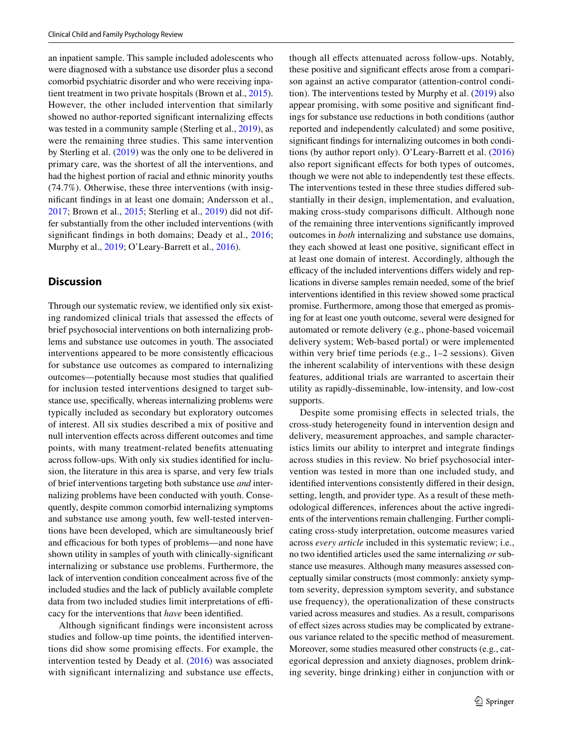an inpatient sample. This sample included adolescents who were diagnosed with a substance use disorder plus a second comorbid psychiatric disorder and who were receiving inpatient treatment in two private hospitals (Brown et al., [2015](#page-15-20)). However, the other included intervention that similarly showed no author-reported significant internalizing effects was tested in a community sample (Sterling et al., [2019\)](#page-16-22), as were the remaining three studies. This same intervention by Sterling et al. [\(2019](#page-16-22)) was the only one to be delivered in primary care, was the shortest of all the interventions, and had the highest portion of racial and ethnic minority youths (74.7%). Otherwise, these three interventions (with insignifcant fndings in at least one domain; Andersson et al., [2017](#page-14-1); Brown et al., [2015;](#page-15-20) Sterling et al., [2019](#page-16-22)) did not differ substantially from the other included interventions (with significant findings in both domains; Deady et al., [2016](#page-15-21); Murphy et al., [2019;](#page-15-22) O'Leary-Barrett et al., [2016\)](#page-15-23).

#### **Discussion**

Through our systematic review, we identifed only six existing randomized clinical trials that assessed the efects of brief psychosocial interventions on both internalizing problems and substance use outcomes in youth. The associated interventions appeared to be more consistently efficacious for substance use outcomes as compared to internalizing outcomes—potentially because most studies that qualifed for inclusion tested interventions designed to target substance use, specifcally, whereas internalizing problems were typically included as secondary but exploratory outcomes of interest. All six studies described a mix of positive and null intervention efects across diferent outcomes and time points, with many treatment-related benefts attenuating across follow-ups. With only six studies identifed for inclusion, the literature in this area is sparse, and very few trials of brief interventions targeting both substance use *and* internalizing problems have been conducted with youth. Consequently, despite common comorbid internalizing symptoms and substance use among youth, few well-tested interventions have been developed, which are simultaneously brief and efficacious for both types of problems—and none have shown utility in samples of youth with clinically-signifcant internalizing or substance use problems. Furthermore, the lack of intervention condition concealment across fve of the included studies and the lack of publicly available complete data from two included studies limit interpretations of efficacy for the interventions that *have* been identifed.

Although signifcant fndings were inconsistent across studies and follow-up time points, the identifed interventions did show some promising efects. For example, the intervention tested by Deady et al. ([2016\)](#page-15-21) was associated with significant internalizing and substance use effects, though all efects attenuated across follow-ups. Notably, these positive and signifcant efects arose from a comparison against an active comparator (attention-control condition). The interventions tested by Murphy et al.  $(2019)$  $(2019)$  $(2019)$  also appear promising, with some positive and signifcant fndings for substance use reductions in both conditions (author reported and independently calculated) and some positive, signifcant fndings for internalizing outcomes in both conditions (by author report only). O'Leary-Barrett et al. ([2016\)](#page-15-23) also report signifcant efects for both types of outcomes, though we were not able to independently test these efects. The interventions tested in these three studies difered substantially in their design, implementation, and evaluation, making cross-study comparisons difficult. Although none of the remaining three interventions signifcantly improved outcomes in *both* internalizing and substance use domains, they each showed at least one positive, significant effect in at least one domain of interest. Accordingly, although the efficacy of the included interventions differs widely and replications in diverse samples remain needed, some of the brief interventions identifed in this review showed some practical promise. Furthermore, among those that emerged as promising for at least one youth outcome, several were designed for automated or remote delivery (e.g., phone-based voicemail delivery system; Web-based portal) or were implemented within very brief time periods (e.g., 1–2 sessions). Given the inherent scalability of interventions with these design features, additional trials are warranted to ascertain their utility as rapidly-disseminable, low-intensity, and low-cost supports.

Despite some promising efects in selected trials, the cross-study heterogeneity found in intervention design and delivery, measurement approaches, and sample characteristics limits our ability to interpret and integrate fndings across studies in this review. No brief psychosocial intervention was tested in more than one included study, and identifed interventions consistently difered in their design, setting, length, and provider type. As a result of these methodological diferences, inferences about the active ingredients of the interventions remain challenging. Further complicating cross-study interpretation, outcome measures varied across *every article* included in this systematic review; i.e., no two identifed articles used the same internalizing *or* substance use measures. Although many measures assessed conceptually similar constructs (most commonly: anxiety symptom severity, depression symptom severity, and substance use frequency), the operationalization of these constructs varied across measures and studies. As a result, comparisons of efect sizes across studies may be complicated by extraneous variance related to the specifc method of measurement. Moreover, some studies measured other constructs (e.g., categorical depression and anxiety diagnoses, problem drinking severity, binge drinking) either in conjunction with or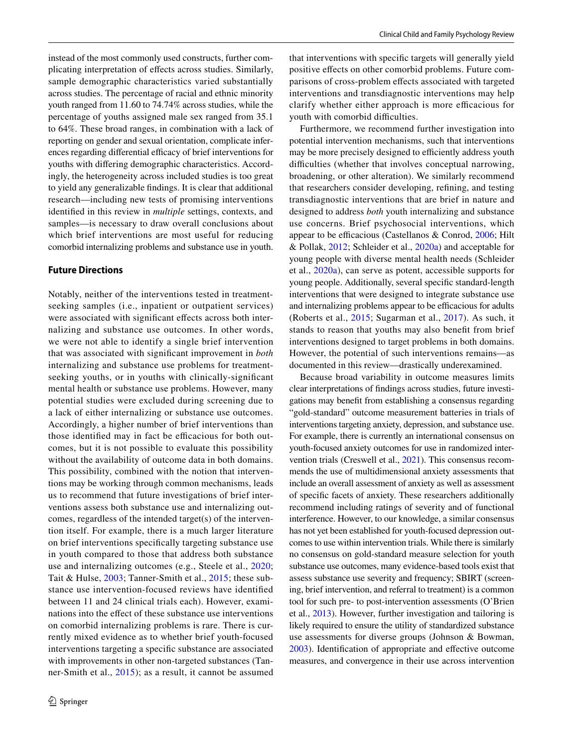instead of the most commonly used constructs, further complicating interpretation of efects across studies. Similarly, sample demographic characteristics varied substantially across studies. The percentage of racial and ethnic minority youth ranged from 11.60 to 74.74% across studies, while the percentage of youths assigned male sex ranged from 35.1 to 64%. These broad ranges, in combination with a lack of reporting on gender and sexual orientation, complicate inferences regarding differential efficacy of brief interventions for youths with difering demographic characteristics. Accordingly, the heterogeneity across included studies is too great to yield any generalizable fndings. It is clear that additional research—including new tests of promising interventions identifed in this review in *multiple* settings, contexts, and samples—is necessary to draw overall conclusions about which brief interventions are most useful for reducing comorbid internalizing problems and substance use in youth.

#### **Future Directions**

Notably, neither of the interventions tested in treatmentseeking samples (i.e., inpatient or outpatient services) were associated with significant effects across both internalizing and substance use outcomes. In other words, we were not able to identify a single brief intervention that was associated with signifcant improvement in *both* internalizing and substance use problems for treatmentseeking youths, or in youths with clinically-signifcant mental health or substance use problems. However, many potential studies were excluded during screening due to a lack of either internalizing or substance use outcomes. Accordingly, a higher number of brief interventions than those identified may in fact be efficacious for both outcomes, but it is not possible to evaluate this possibility without the availability of outcome data in both domains. This possibility, combined with the notion that interventions may be working through common mechanisms, leads us to recommend that future investigations of brief interventions assess both substance use and internalizing outcomes, regardless of the intended target(s) of the intervention itself. For example, there is a much larger literature on brief interventions specifcally targeting substance use in youth compared to those that address both substance use and internalizing outcomes (e.g., Steele et al., [2020](#page-16-21); Tait & Hulse, [2003;](#page-16-3) Tanner-Smith et al., [2015;](#page-16-24) these substance use intervention-focused reviews have identifed between 11 and 24 clinical trials each). However, examinations into the efect of these substance use interventions on comorbid internalizing problems is rare. There is currently mixed evidence as to whether brief youth-focused interventions targeting a specifc substance are associated with improvements in other non-targeted substances (Tanner-Smith et al., [2015](#page-16-24)); as a result, it cannot be assumed that interventions with specifc targets will generally yield positive efects on other comorbid problems. Future comparisons of cross-problem efects associated with targeted interventions and transdiagnostic interventions may help clarify whether either approach is more efficacious for youth with comorbid difficulties.

Furthermore, we recommend further investigation into potential intervention mechanisms, such that interventions may be more precisely designed to efficiently address youth difficulties (whether that involves conceptual narrowing, broadening, or other alteration). We similarly recommend that researchers consider developing, refning, and testing transdiagnostic interventions that are brief in nature and designed to address *both* youth internalizing and substance use concerns. Brief psychosocial interventions, which appear to be efficacious (Castellanos & Conrod,  $2006$ ; Hilt & Pollak, [2012;](#page-15-25) Schleider et al., [2020a\)](#page-16-0) and acceptable for young people with diverse mental health needs (Schleider et al., [2020a\)](#page-16-0), can serve as potent, accessible supports for young people. Additionally, several specifc standard-length interventions that were designed to integrate substance use and internalizing problems appear to be efficacious for adults (Roberts et al., [2015](#page-16-25); Sugarman et al., [2017](#page-16-26)). As such, it stands to reason that youths may also beneft from brief interventions designed to target problems in both domains. However, the potential of such interventions remains—as documented in this review—drastically underexamined.

Because broad variability in outcome measures limits clear interpretations of fndings across studies, future investigations may beneft from establishing a consensus regarding "gold-standard" outcome measurement batteries in trials of interventions targeting anxiety, depression, and substance use. For example, there is currently an international consensus on youth-focused anxiety outcomes for use in randomized intervention trials (Creswell et al., [2021](#page-15-26)). This consensus recommends the use of multidimensional anxiety assessments that include an overall assessment of anxiety as well as assessment of specifc facets of anxiety. These researchers additionally recommend including ratings of severity and of functional interference. However, to our knowledge, a similar consensus has not yet been established for youth-focused depression outcomes to use within intervention trials. While there is similarly no consensus on gold-standard measure selection for youth substance use outcomes, many evidence-based tools exist that assess substance use severity and frequency; SBIRT (screening, brief intervention, and referral to treatment) is a common tool for such pre- to post-intervention assessments (O'Brien et al., [2013\)](#page-15-27). However, further investigation and tailoring is likely required to ensure the utility of standardized substance use assessments for diverse groups (Johnson & Bowman, [2003](#page-15-28)). Identifcation of appropriate and efective outcome measures, and convergence in their use across intervention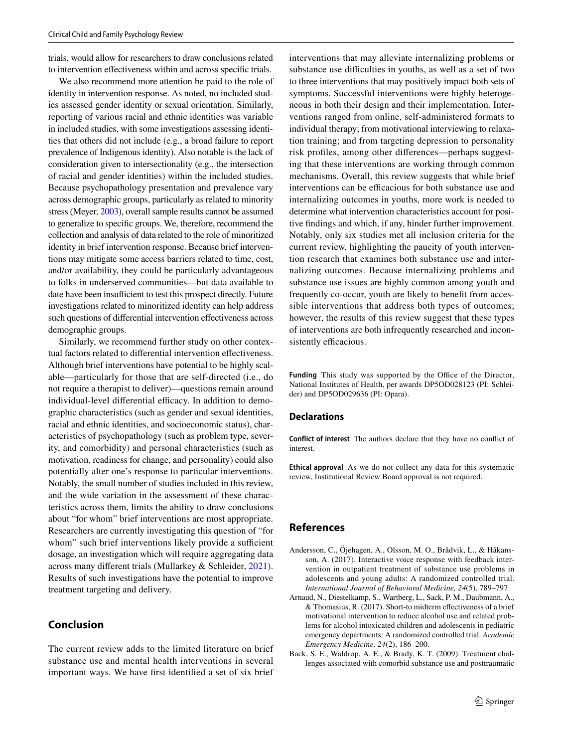trials, would allow for researchers to draw conclusions related to intervention efectiveness within and across specifc trials.

We also recommend more attention be paid to the role of identity in intervention response. As noted, no included studies assessed gender identity or sexual orientation. Similarly, reporting of various racial and ethnic identities was variable in included studies, with some investigations assessing identities that others did not include (e.g., a broad failure to report prevalence of Indigenous identity). Also notable is the lack of consideration given to intersectionality (e.g., the intersection of racial and gender identities) within the included studies. Because psychopathology presentation and prevalence vary across demographic groups, particularly as related to minority stress (Meyer, [2003](#page-15-29)), overall sample results cannot be assumed to generalize to specifc groups. We, therefore, recommend the collection and analysis of data related to the role of minoritized identity in brief intervention response. Because brief interventions may mitigate some access barriers related to time, cost, and/or availability, they could be particularly advantageous to folks in underserved communities—but data available to date have been insufficient to test this prospect directly. Future investigations related to minoritized identity can help address such questions of diferential intervention efectiveness across demographic groups.

Similarly, we recommend further study on other contextual factors related to diferential intervention efectiveness. Although brief interventions have potential to be highly scalable—particularly for those that are self-directed (i.e., do not require a therapist to deliver)—questions remain around individual-level differential efficacy. In addition to demographic characteristics (such as gender and sexual identities, racial and ethnic identities, and socioeconomic status), characteristics of psychopathology (such as problem type, severity, and comorbidity) and personal characteristics (such as motivation, readiness for change, and personality) could also potentially alter one's response to particular interventions. Notably, the small number of studies included in this review, and the wide variation in the assessment of these characteristics across them, limits the ability to draw conclusions about "for whom" brief interventions are most appropriate. Researchers are currently investigating this question of "for whom" such brief interventions likely provide a sufficient dosage, an investigation which will require aggregating data across many diferent trials (Mullarkey & Schleider, [2021](#page-15-30)). Results of such investigations have the potential to improve treatment targeting and delivery.

# **Conclusion**

The current review adds to the limited literature on brief substance use and mental health interventions in several important ways. We have frst identifed a set of six brief interventions that may alleviate internalizing problems or substance use difficulties in youths, as well as a set of two to three interventions that may positively impact both sets of symptoms. Successful interventions were highly heterogeneous in both their design and their implementation. Interventions ranged from online, self-administered formats to individual therapy; from motivational interviewing to relaxation training; and from targeting depression to personality risk profles, among other diferences—perhaps suggesting that these interventions are working through common mechanisms. Overall, this review suggests that while brief interventions can be efficacious for both substance use and internalizing outcomes in youths, more work is needed to determine what intervention characteristics account for positive fndings and which, if any, hinder further improvement. Notably, only six studies met all inclusion criteria for the current review, highlighting the paucity of youth intervention research that examines both substance use and internalizing outcomes. Because internalizing problems and substance use issues are highly common among youth and frequently co-occur, youth are likely to beneft from accessible interventions that address both types of outcomes; however, the results of this review suggest that these types of interventions are both infrequently researched and inconsistently efficacious.

Funding This study was supported by the Office of the Director, National Institutes of Health, per awards DP5OD028123 (PI: Schleider) and DP5OD029636 (PI: Opara).

#### **Declarations**

**Conflict of interest** The authors declare that they have no confict of interest.

**Ethical approval** As we do not collect any data for this systematic review, Institutional Review Board approval is not required.

### **References**

- <span id="page-14-1"></span>Andersson, C., Öjehagen, A., Olsson, M. O., Brådvik, L., & Håkansson, A. (2017). Interactive voice response with feedback intervention in outpatient treatment of substance use problems in adolescents and young adults: A randomized controlled trial. *International Journal of Behavioral Medicine, 24*(5), 789–797.
- <span id="page-14-2"></span>Arnaud, N., Diestelkamp, S., Wartberg, L., Sack, P. M., Daubmann, A., & Thomasius, R. (2017). Short-to midterm efectiveness of a brief motivational intervention to reduce alcohol use and related problems for alcohol intoxicated children and adolescents in pediatric emergency departments: A randomized controlled trial. *Academic Emergency Medicine, 24*(2), 186–200.
- <span id="page-14-0"></span>Back, S. E., Waldrop, A. E., & Brady, K. T. (2009). Treatment challenges associated with comorbid substance use and posttraumatic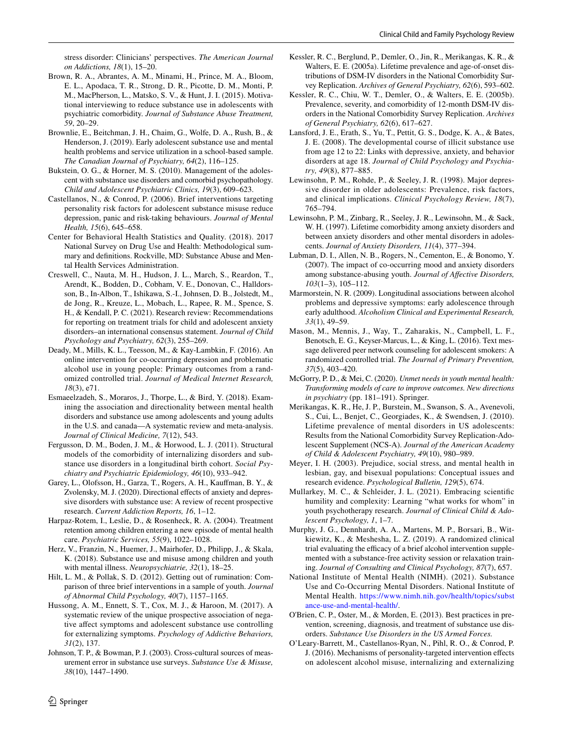stress disorder: Clinicians' perspectives. *The American Journal on Addictions, 18*(1), 15–20.

- <span id="page-15-20"></span>Brown, R. A., Abrantes, A. M., Minami, H., Prince, M. A., Bloom, E. L., Apodaca, T. R., Strong, D. R., Picotte, D. M., Monti, P. M., MacPherson, L., Matsko, S. V., & Hunt, J. I. (2015). Motivational interviewing to reduce substance use in adolescents with psychiatric comorbidity. *Journal of Substance Abuse Treatment, 59*, 20–29.
- <span id="page-15-9"></span>Brownlie, E., Beitchman, J. H., Chaim, G., Wolfe, D. A., Rush, B., & Henderson, J. (2019). Early adolescent substance use and mental health problems and service utilization in a school-based sample. *The Canadian Journal of Psychiatry, 64*(2), 116–125.
- <span id="page-15-19"></span>Bukstein, O. G., & Horner, M. S. (2010). Management of the adolescent with substance use disorders and comorbid psychopathology. *Child and Adolescent Psychiatric Clinics, 19*(3), 609–623.
- <span id="page-15-24"></span>Castellanos, N., & Conrod, P. (2006). Brief interventions targeting personality risk factors for adolescent substance misuse reduce depression, panic and risk-taking behaviours. *Journal of Mental Health, 15*(6), 645–658.
- <span id="page-15-6"></span>Center for Behavioral Health Statistics and Quality. (2018). 2017 National Survey on Drug Use and Health: Methodological summary and defnitions. Rockville, MD: Substance Abuse and Mental Health Services Administration.
- <span id="page-15-26"></span>Creswell, C., Nauta, M. H., Hudson, J. L., March, S., Reardon, T., Arendt, K., Bodden, D., Cobham, V. E., Donovan, C., Halldorsson, B., In-Albon, T., Ishikawa, S.-I., Johnsen, D. B., Jolstedt, M., de Jong, R., Kreuze, L., Mobach, L., Rapee, R. M., Spence, S. H., & Kendall, P. C. (2021). Research review: Recommendations for reporting on treatment trials for child and adolescent anxiety disorders–an international consensus statement. *Journal of Child Psychology and Psychiatry, 62*(3), 255–269.
- <span id="page-15-21"></span>Deady, M., Mills, K. L., Teesson, M., & Kay-Lambkin, F. (2016). An online intervention for co-occurring depression and problematic alcohol use in young people: Primary outcomes from a randomized controlled trial. *Journal of Medical Internet Research, 18*(3), e71.
- <span id="page-15-13"></span>Esmaeelzadeh, S., Moraros, J., Thorpe, L., & Bird, Y. (2018). Examining the association and directionality between mental health disorders and substance use among adolescents and young adults in the U.S. and canada—A systematic review and meta-analysis. *Journal of Clinical Medicine, 7*(12), 543.
- <span id="page-15-15"></span>Fergusson, D. M., Boden, J. M., & Horwood, L. J. (2011). Structural models of the comorbidity of internalizing disorders and substance use disorders in a longitudinal birth cohort. *Social Psychiatry and Psychiatric Epidemiology, 46*(10), 933–942.
- <span id="page-15-12"></span>Garey, L., Olofsson, H., Garza, T., Rogers, A. H., Kaufman, B. Y., & Zvolensky, M. J. (2020). Directional effects of anxiety and depressive disorders with substance use: A review of recent prospective research. *Current Addiction Reports, 16*, 1–12.
- <span id="page-15-4"></span>Harpaz-Rotem, I., Leslie, D., & Rosenheck, R. A. (2004). Treatment retention among children entering a new episode of mental health care. *Psychiatric Services, 55*(9), 1022–1028.
- <span id="page-15-8"></span>Herz, V., Franzin, N., Huemer, J., Mairhofer, D., Philipp, J., & Skala, K. (2018). Substance use and misuse among children and youth with mental illness. *Neuropsychiatrie, 32*(1), 18–25.
- <span id="page-15-25"></span>Hilt, L. M., & Pollak, S. D. (2012). Getting out of rumination: Comparison of three brief interventions in a sample of youth. *Journal of Abnormal Child Psychology, 40*(7), 1157–1165.
- <span id="page-15-16"></span>Hussong, A. M., Ennett, S. T., Cox, M. J., & Haroon, M. (2017). A systematic review of the unique prospective association of negative afect symptoms and adolescent substance use controlling for externalizing symptoms. *Psychology of Addictive Behaviors, 31*(2), 137.
- <span id="page-15-28"></span>Johnson, T. P., & Bowman, P. J. (2003). Cross-cultural sources of measurement error in substance use surveys. *Substance Use & Misuse, 38*(10), 1447–1490.
- <span id="page-15-0"></span>Kessler, R. C., Berglund, P., Demler, O., Jin, R., Merikangas, K. R., & Walters, E. E. (2005a). Lifetime prevalence and age-of-onset distributions of DSM-IV disorders in the National Comorbidity Survey Replication. *Archives of General Psychiatry, 62*(6), 593–602.
- <span id="page-15-7"></span>Kessler, R. C., Chiu, W. T., Demler, O., & Walters, E. E. (2005b). Prevalence, severity, and comorbidity of 12-month DSM-IV disorders in the National Comorbidity Survey Replication. *Archives of General Psychiatry, 62*(6), 617–627.
- <span id="page-15-10"></span>Lansford, J. E., Erath, S., Yu, T., Pettit, G. S., Dodge, K. A., & Bates, J. E. (2008). The developmental course of illicit substance use from age 12 to 22: Links with depressive, anxiety, and behavior disorders at age 18. *Journal of Child Psychology and Psychiatry, 49*(8), 877–885.
- <span id="page-15-1"></span>Lewinsohn, P. M., Rohde, P., & Seeley, J. R. (1998). Major depressive disorder in older adolescents: Prevalence, risk factors, and clinical implications. *Clinical Psychology Review, 18*(7), 765–794.
- <span id="page-15-11"></span>Lewinsohn, P. M., Zinbarg, R., Seeley, J. R., Lewinsohn, M., & Sack, W. H. (1997). Lifetime comorbidity among anxiety disorders and between anxiety disorders and other mental disorders in adolescents. *Journal of Anxiety Disorders, 11*(4), 377–394.
- <span id="page-15-2"></span>Lubman, D. I., Allen, N. B., Rogers, N., Cementon, E., & Bonomo, Y. (2007). The impact of co-occurring mood and anxiety disorders among substance-abusing youth. *Journal of Afective Disorders, 103*(1–3), 105–112.
- <span id="page-15-14"></span>Marmorstein, N. R. (2009). Longitudinal associations between alcohol problems and depressive symptoms: early adolescence through early adulthood. *Alcoholism Clinical and Experimental Research, 33*(1), 49–59.
- <span id="page-15-18"></span>Mason, M., Mennis, J., Way, T., Zaharakis, N., Campbell, L. F., Benotsch, E. G., Keyser-Marcus, L., & King, L. (2016). Text message delivered peer network counseling for adolescent smokers: A randomized controlled trial. *The Journal of Primary Prevention, 37*(5), 403–420.
- <span id="page-15-3"></span>McGorry, P. D., & Mei, C. (2020). *Unmet needs in youth mental health: Transforming models of care to improve outcomes. New directions in psychiatry* (pp. 181–191). Springer.
- <span id="page-15-5"></span>Merikangas, K. R., He, J. P., Burstein, M., Swanson, S. A., Avenevoli, S., Cui, L., Benjet, C., Georgiades, K., & Swendsen, J. (2010). Lifetime prevalence of mental disorders in US adolescents: Results from the National Comorbidity Survey Replication-Adolescent Supplement (NCS-A). *Journal of the American Academy of Child & Adolescent Psychiatry, 49*(10), 980–989.
- <span id="page-15-29"></span>Meyer, I. H. (2003). Prejudice, social stress, and mental health in lesbian, gay, and bisexual populations: Conceptual issues and research evidence. *Psychological Bulletin, 129*(5), 674.
- <span id="page-15-30"></span>Mullarkey, M. C., & Schleider, J. L. (2021). Embracing scientifc humility and complexity: Learning "what works for whom" in youth psychotherapy research. *Journal of Clinical Child & Adolescent Psychology, 1*, 1–7.
- <span id="page-15-22"></span>Murphy, J. G., Dennhardt, A. A., Martens, M. P., Borsari, B., Witkiewitz, K., & Meshesha, L. Z. (2019). A randomized clinical trial evaluating the efficacy of a brief alcohol intervention supplemented with a substance-free activity session or relaxation training. *Journal of Consulting and Clinical Psychology, 87*(7), 657.
- <span id="page-15-17"></span>National Institute of Mental Health (NIMH). (2021). Substance Use and Co-Occurring Mental Disorders. National Institute of Mental Health. [https://www.nimh.nih.gov/health/topics/subst](https://www.nimh.nih.gov/health/topics/substance-use-and-mental-health/) [ance-use-and-mental-health/](https://www.nimh.nih.gov/health/topics/substance-use-and-mental-health/).
- <span id="page-15-27"></span>O'Brien, C. P., Oster, M., & Morden, E. (2013). Best practices in prevention, screening, diagnosis, and treatment of substance use disorders. *Substance Use Disorders in the US Armed Forces.*
- <span id="page-15-23"></span>O'Leary-Barrett, M., Castellanos-Ryan, N., Pihl, R. O., & Conrod, P. J. (2016). Mechanisms of personality-targeted intervention efects on adolescent alcohol misuse, internalizing and externalizing